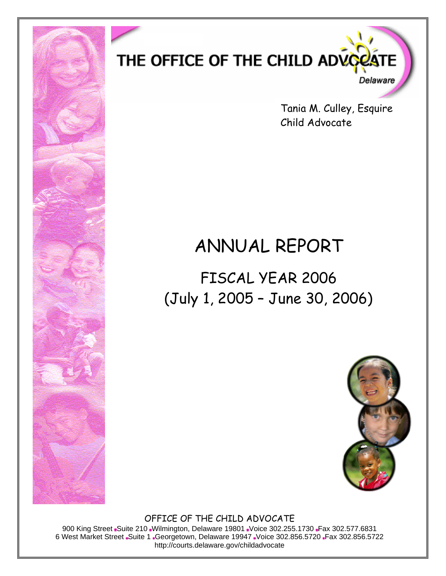

Tania M. Culley, Esquire Child Advocate

# ANNUAL REPORT

FISCAL YEAR 2006 (July 1, 2005 – June 30, 2006)



OFFICE OF THE CHILD ADVOCATE

900 King Street Suite 210 Wilmington, Delaware 19801 Voice 302.255.1730 Fax 302.577.6831 6 West Market Street Suite 1 Georgetown, Delaware 19947 Voice 302.856.5720 Fax 302.856.5722 http://courts.delaware.gov/childadvocate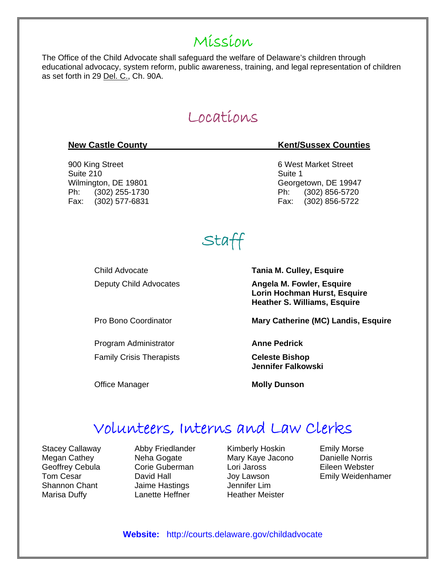### Mission

The Office of the Child Advocate shall safeguard the welfare of Delaware's children through educational advocacy, system reform, public awareness, training, and legal representation of children as set forth in 29 Del. C., Ch. 90A.

### Locations

# 900 King Street 6 West Market Street 6 West Market Street Suite 210 Suite 1

#### **New Castle County Community Community Community Community Rent/Sussex Counties**

Wilmington, DE 19801 Contract Contract Contract Contract Georgetown, DE 19947 Ph: (302) 255-1730 Ph: (302) 856-5720 Fax: (302) 577-6831 Fax: (302) 856-5722

# Staff

Child Advocate **Tania M. Culley, Esquire** Deputy Child Advocates **Angela M. Fowler, Esquire** 

Program Administrator **Anne Pedrick** Family Crisis Therapists **Celeste Bishop** 

 **Lorin Hochman Hurst, Esquire Heather S. Williams, Esquire** 

Pro Bono Coordinator **Mary Catherine (MC) Landis, Esquire**

 **Jennifer Falkowski** 

**Office Manager**  Molly Dunson

### Volunteers, Interns and Law Clerks

Stacey Callaway Megan Cathey Geoffrey Cebula Tom Cesar Shannon Chant Marisa Duffy

Abby Friedlander Neha Gogate Corie Guberman David Hall Jaime Hastings Lanette Heffner

Kimberly Hoskin Mary Kaye Jacono Lori Jaross Joy Lawson Jennifer Lim Heather Meister

Emily Morse Danielle Norris Eileen Webster Emily Weidenhamer

**Website:** http://courts.delaware.gov/childadvocate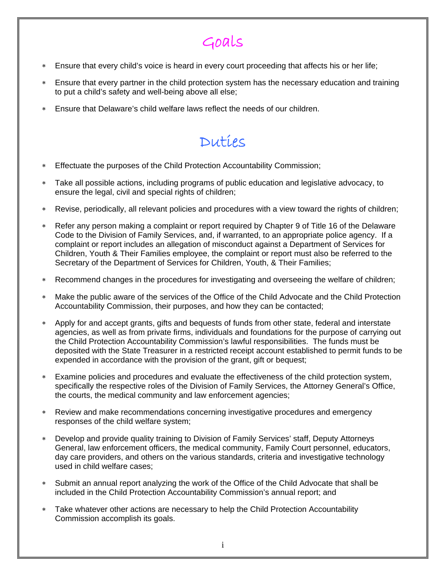# Goals

- ∗ Ensure that every child's voice is heard in every court proceeding that affects his or her life;
- Ensure that every partner in the child protection system has the necessary education and training to put a child's safety and well-being above all else;
- Ensure that Delaware's child welfare laws reflect the needs of our children.

### Duties

- ∗ Effectuate the purposes of the Child Protection Accountability Commission;
- Take all possible actions, including programs of public education and legislative advocacy, to ensure the legal, civil and special rights of children;
- Revise, periodically, all relevant policies and procedures with a view toward the rights of children;
- Refer any person making a complaint or report required by Chapter 9 of Title 16 of the Delaware Code to the Division of Family Services, and, if warranted, to an appropriate police agency. If a complaint or report includes an allegation of misconduct against a Department of Services for Children, Youth & Their Families employee, the complaint or report must also be referred to the Secretary of the Department of Services for Children, Youth, & Their Families;
- ∗ Recommend changes in the procedures for investigating and overseeing the welfare of children;
- ∗ Make the public aware of the services of the Office of the Child Advocate and the Child Protection Accountability Commission, their purposes, and how they can be contacted;
- ∗ Apply for and accept grants, gifts and bequests of funds from other state, federal and interstate agencies, as well as from private firms, individuals and foundations for the purpose of carrying out the Child Protection Accountability Commission's lawful responsibilities. The funds must be deposited with the State Treasurer in a restricted receipt account established to permit funds to be expended in accordance with the provision of the grant, gift or bequest;
- Examine policies and procedures and evaluate the effectiveness of the child protection system, specifically the respective roles of the Division of Family Services, the Attorney General's Office, the courts, the medical community and law enforcement agencies;
- Review and make recommendations concerning investigative procedures and emergency responses of the child welfare system;
- Develop and provide quality training to Division of Family Services' staff, Deputy Attorneys General, law enforcement officers, the medical community, Family Court personnel, educators, day care providers, and others on the various standards, criteria and investigative technology used in child welfare cases;
- ∗ Submit an annual report analyzing the work of the Office of the Child Advocate that shall be included in the Child Protection Accountability Commission's annual report; and
- Take whatever other actions are necessary to help the Child Protection Accountability Commission accomplish its goals.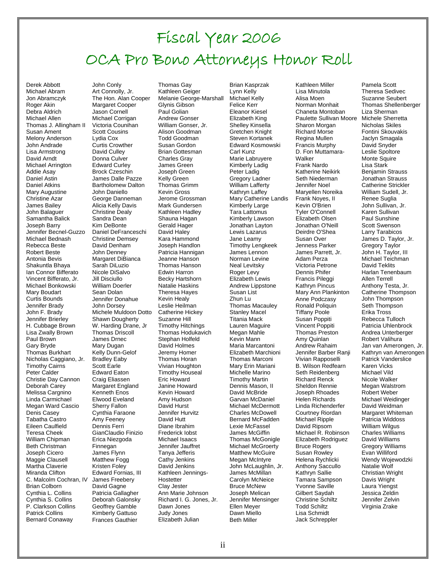# Fiscal Year 2006 OCA Pro Bono Attorneys Honor Roll

Derek Abbott Michael Abram Jon Abramczyk Roger Akin Debra Aldrich Michael Allen Thomas J. Allingham II Susan Ament Melony Anderson John Andrade Lisa Armstrong David Arndt Michael Arrington Addie Asay Daniel Astin Daniel Atkins Mary Augustine Christine Azar James Bailey John Balaguer Samantha Balick Joseph Barry Jennifer Becnel-Guzzo Michael Bednash Rebecca Beste Robert Beste Antonia Bevis Shakuntla Bhaya Ian Connor Bifferato Vincent Bifferato, Jr. Michael Bonkowski Mary Boudart Curtis Bounds Jennifer Brady John F. Brady Jennifer Brierley H. Cubbage Brown Lisa Zwally Brown Paul Brown Gary Bryde Thomas Burkhart Nicholas Caggiano, Jr. Timothy Cairns Peter Calder Christie Day Cannon Deborah Carey Melissa Cargnino Linda Carmichael Megan Ward Cascio Denis Casey Tabatha Castro Eileen Caulfield Teresa Cheek William Chipman Beth Christman Joseph Cicero Maggie Clausell Martha Claverie Miranda Clifton C. Malcolm Cochran, IV Brian Colborn Cynthia L. Collins Cynthia S. Collins P. Clarkson Collins Patrick Collins Bernard Conaway

John Conly Art Connolly, Jr. The Hon. Alan Cooper Margaret Cooper Jason Cornell Michael Corrigan Victoria Counihan Scott Cousins Lydia Cox Curtis Crowther David Culley Donna Culver Edward Curley Brock Czeschin James Dalle Pazze Bartholomew Dalton John Daniello George Danneman Alicia Kelly Davis Christine Dealy Sandra Dean Kim DeBonte Daniel DeFranceschi Christine Demsey David Denham John Denney Margaret DiBianca Sarah DiLuzio Nicole DiSalvo Jill Disciullo William Doerler Sean Dolan Jennifer Donahue John Dorsey Michele Muldoon Dotto Shawn Dougherty W. Harding Drane, Jr Thomas Driscoll James Drnec Mary Dugan Kelly Dunn-Gelof Bradley Eaby Scott Earle Edward Eaton Craig Eliassen Margaret England Kenneth Enos Elwood Eveland Sherry Fallon Cynthia Faraone Amy Feeney Dennis Ferri GianClaudio Finizio Erica Niezgoda **Finnegan** James Flynn Matthew Fogg Kristen Foley Edward Fornias, III James Freebery David Gagne Patricia Gallagher Deborah Galonsky Geoffrey Gamble Kimberly Gattuso Frances Gauthier

Thomas Gay Kathleen Geiger Melanie George-Marshall Glynis Gibson Paul Golian Andrew Gonser William Gonser, Jr. Alison Goodman Todd Goodman Susan Gordon Brian Gottesman Charles Gray James Green Joseph Green Kelly Green Thomas Grimm Kevin Gross Jerome Grossman Mark Gundersen Kathleen Hadley Shauna Hagan Gerald Hager David Haley Kara Hammond Joseph Handlon Patricia Hannigan Jeanne Hanson Thomas Hanson Edwin Harron Becky Hartshorn Natalie Haskins Theresa Hayes Kevin Healy Leslie Heilman Catherine Hickey Suzanne Hill Timothy Hitchings Thomas Hodukavich Stephan Holfeld David Holmes Jeremy Homer Thomas Horan Vivian Houghton Timothy Houseal Eric Howard Janine Howard Kevin Howard Amy Hudson David Hurst Jennifer Hurvitz David Hutt Diane Ibrahim Frederick Iobst Michael Isaacs Jennifer Jauffret Tanya Jefferis Cathy Jenkins David Jenkins Kathleen Jennings-**Hostetter** Clay Jester Ann Marie Johnson Richard I. G. Jones, Jr. Dawn Jones Judy Jones Elizabeth Julian

Brian Kasprzak Lynn Kelly Michael Kelly Felice Kerr Eleanor Kiesel Elizabeth King Shelley Kinsella Gretchen Knight Steven Kortanek Edward Kosmowski Carl Kunz Marie Labruyere Kimberly Ladig Peter Ladig Gregory Ladner William Lafferty Kathryn Laffey Mary Catherine Landis Kimberly Large Tara Lattomus Kimberly Lawson Jonathan Layton Lewis Lazarus Jane Leamy Timothy Lengkeek James Lennon Norman Levine Neal Levitsky Roger Levy Elizabeth Lewis Andrew Lippstone Susan List Zhun Lu Thomas Macauley Stanley Macel Titania Mack Lauren Maguire Megan Mahle Kevin Mann Maria Marcantoni Elizabeth Marchioni Thomas Marconi Mary Erin Mariani Michelle Marino Timothy Martin Dennis Mason, II David McBride Garvan McDaniel Michael McDermott Charles McDowell Bernard McFadden Lexie McFassel James McGiffin Thomas McGonigle Michael McGroerty **Matthew McGuire** Megan McIntyre John McLaughlin, Jr. James McMillan Carolyn McNeice Bruce McNew Joseph Melican Jennifer Mensinger Ellen Meyer Dawn Miello Beth Miller

Kathleen Miller Lisa Minutola Alisa Moen Norman Monhait Chaneta Montoban Paulette Sullivan Moore Sharon Morgan Richard Morse Regina Mullen Francis Murphy D. Fon Muttamara-Walker Frank Nardo Katherine Neikirk Seth Niederman Jennifer Noel Maryellen Noreika Frank Noyes, II Kevin O'Brien Tyler O'Connell Elizabeth Olsen Jonathan O'Neill Deirdre O'Shea Susan Over Jenness Parker James Parrett, Jr. Adam Perza Victoria Petrone Dennis Phifer Francis Pileggi Kathryn Pincus Mary Ann Plankinton Anne Podczasy Ronald Poliquin Tiffany Poole Susan Poppiti Vincent Poppiti Thomas Preston Amy Quinlan Andrew Rahaim Jennifer Barber Ranji Vivian Rapposelli B. Wilson Redfearn Seth Reidenberg Richard Renck Sheldon Rennie Joseph Rhoades Helen Richards Linda Richenderfer Courtney Riordan Michael Ripple David Ripsom Michael R. Robinson Elizabeth Rodriguez Bruce Rogers Susan Rowley Helena Rychlicki Anthony Saccullo Kathryn Sallie Tamara Sampson Yvonne Saville Gilbert Saydah Christine Schiltz Todd Schiltz Lisa Schmidt Jack Schreppler

Pamela Scott Theresa Sedivec Suzanne Seubert Thomas Shellenberger Liza Sherman Michele Sherretta Nicholas Skiles Fontini Skouvakis Jaclyn Smagala David Snyder Leslie Spoltore Monte Squire Lisa Stark Benjamin Strauss Jonathan Strauss Catherine Strickler William Sudell, Jr. Renee Suglia John Sullivan, Jr. Karen Sullivan Paul Sunshine Scott Swenson Larry Tarabicos James D. Taylor, Jr. Gregory Taylor John H. Taylor, III Michael Teichman David Teklits Harlan Tenenbaum Allen Terrell Anthony Testa, Jr. Catherine Thompson John Thompson Seth Thompson Erika Tross Rebecca Tulloch Patricia Uhlenbrock Andrea Unterberger Robert Valihura Jan van Amerongen, Jr. Kathryn van Amerongen Patrick Vanderslice Karen Vicks Michael Vild Nicole Walker Megan Walstrom Robert Weber Michael Weidinger David Weidman Margaret Whiteman Patricia Widdoss William Wilgus Charles Williams David Williams Gregory Williams Evan Williford Wendy Wojewodzki Natalie Wolf Christian Wright Davis Wright Laura Yiengst Jessica Zeldin Jennifer Zelvin Virginia Zrake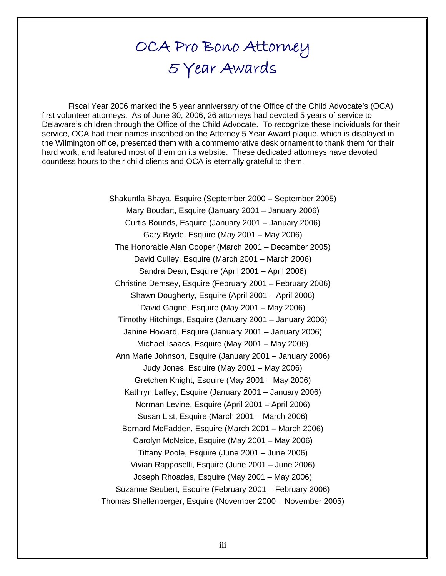# OCA Pro Bono Attorney 5 Year Awards

Fiscal Year 2006 marked the 5 year anniversary of the Office of the Child Advocate's (OCA) first volunteer attorneys. As of June 30, 2006, 26 attorneys had devoted 5 years of service to Delaware's children through the Office of the Child Advocate. To recognize these individuals for their service, OCA had their names inscribed on the Attorney 5 Year Award plaque, which is displayed in the Wilmington office, presented them with a commemorative desk ornament to thank them for their hard work, and featured most of them on its website. These dedicated attorneys have devoted countless hours to their child clients and OCA is eternally grateful to them.

> Shakuntla Bhaya, Esquire (September 2000 – September 2005) Mary Boudart, Esquire (January 2001 – January 2006) Curtis Bounds, Esquire (January 2001 – January 2006) Gary Bryde, Esquire (May 2001 – May 2006) The Honorable Alan Cooper (March 2001 – December 2005) David Culley, Esquire (March 2001 – March 2006) Sandra Dean, Esquire (April 2001 – April 2006) Christine Demsey, Esquire (February 2001 – February 2006) Shawn Dougherty, Esquire (April 2001 – April 2006) David Gagne, Esquire (May 2001 – May 2006) Timothy Hitchings, Esquire (January 2001 – January 2006) Janine Howard, Esquire (January 2001 – January 2006) Michael Isaacs, Esquire (May 2001 – May 2006) Ann Marie Johnson, Esquire (January 2001 – January 2006) Judy Jones, Esquire (May 2001 – May 2006) Gretchen Knight, Esquire (May 2001 – May 2006) Kathryn Laffey, Esquire (January 2001 – January 2006) Norman Levine, Esquire (April 2001 – April 2006) Susan List, Esquire (March 2001 – March 2006) Bernard McFadden, Esquire (March 2001 – March 2006) Carolyn McNeice, Esquire (May 2001 – May 2006) Tiffany Poole, Esquire (June 2001 – June 2006) Vivian Rapposelli, Esquire (June 2001 – June 2006) Joseph Rhoades, Esquire (May 2001 – May 2006) Suzanne Seubert, Esquire (February 2001 – February 2006) Thomas Shellenberger, Esquire (November 2000 – November 2005)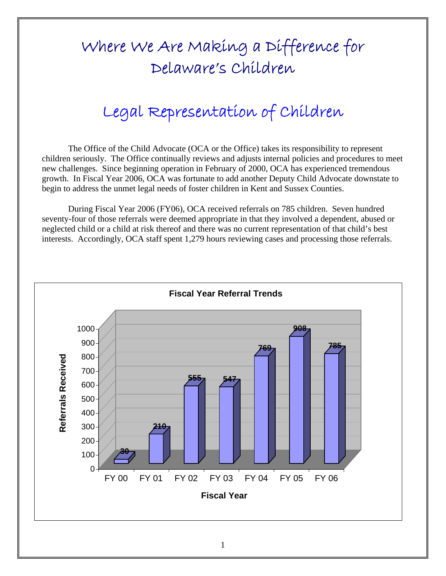# Where We Are Making a Difference for Delaware's Children

# Legal Representation of Children

The Office of the Child Advocate (OCA or the Office) takes its responsibility to represent children seriously. The Office continually reviews and adjusts internal policies and procedures to meet new challenges. Since beginning operation in February of 2000, OCA has experienced tremendous growth. In Fiscal Year 2006, OCA was fortunate to add another Deputy Child Advocate downstate to begin to address the unmet legal needs of foster children in Kent and Sussex Counties.

During Fiscal Year 2006 (FY06), OCA received referrals on 785 children. Seven hundred seventy-four of those referrals were deemed appropriate in that they involved a dependent, abused or neglected child or a child at risk thereof and there was no current representation of that child's best interests. Accordingly, OCA staff spent 1,279 hours reviewing cases and processing those referrals.

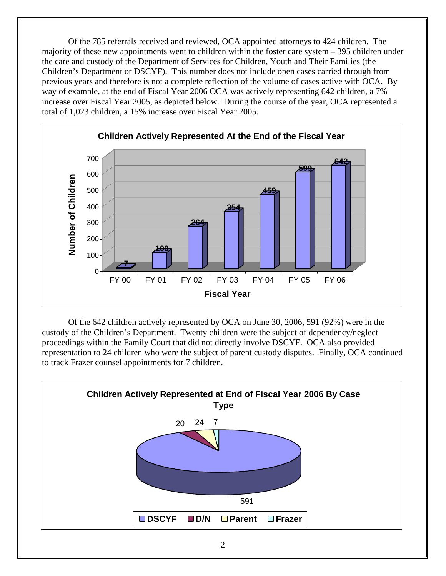Of the 785 referrals received and reviewed, OCA appointed attorneys to 424 children. The majority of these new appointments went to children within the foster care system – 395 children under the care and custody of the Department of Services for Children, Youth and Their Families (the Children's Department or DSCYF). This number does not include open cases carried through from previous years and therefore is not a complete reflection of the volume of cases active with OCA. By way of example, at the end of Fiscal Year 2006 OCA was actively representing 642 children, a 7% increase over Fiscal Year 2005, as depicted below. During the course of the year, OCA represented a total of 1,023 children, a 15% increase over Fiscal Year 2005.



Of the 642 children actively represented by OCA on June 30, 2006, 591 (92%) were in the custody of the Children's Department. Twenty children were the subject of dependency/neglect proceedings within the Family Court that did not directly involve DSCYF. OCA also provided representation to 24 children who were the subject of parent custody disputes. Finally, OCA continued to track Frazer counsel appointments for 7 children.

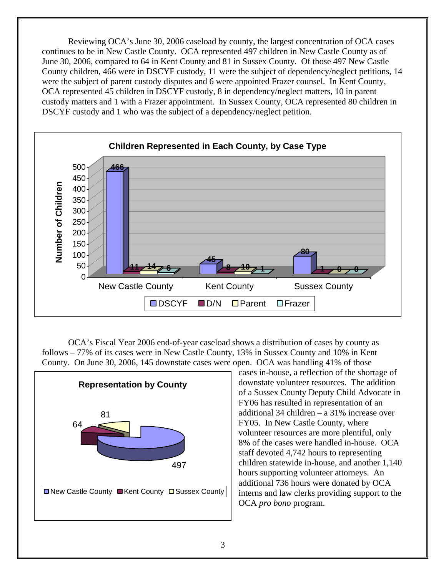Reviewing OCA's June 30, 2006 caseload by county, the largest concentration of OCA cases continues to be in New Castle County. OCA represented 497 children in New Castle County as of June 30, 2006, compared to 64 in Kent County and 81 in Sussex County. Of those 497 New Castle County children, 466 were in DSCYF custody, 11 were the subject of dependency/neglect petitions, 14 were the subject of parent custody disputes and 6 were appointed Frazer counsel. In Kent County, OCA represented 45 children in DSCYF custody, 8 in dependency/neglect matters, 10 in parent custody matters and 1 with a Frazer appointment. In Sussex County, OCA represented 80 children in DSCYF custody and 1 who was the subject of a dependency/neglect petition.



OCA's Fiscal Year 2006 end-of-year caseload shows a distribution of cases by county as follows – 77% of its cases were in New Castle County, 13% in Sussex County and 10% in Kent County. On June 30, 2006, 145 downstate cases were open. OCA was handling 41% of those



cases in-house, a reflection of the shortage of downstate volunteer resources. The addition of a Sussex County Deputy Child Advocate in FY06 has resulted in representation of an additional 34 children – a 31% increase over FY05. In New Castle County, where volunteer resources are more plentiful, only 8% of the cases were handled in-house. OCA staff devoted 4,742 hours to representing children statewide in-house, and another 1,140 hours supporting volunteer attorneys. An additional 736 hours were donated by OCA interns and law clerks providing support to the OCA *pro bono* program.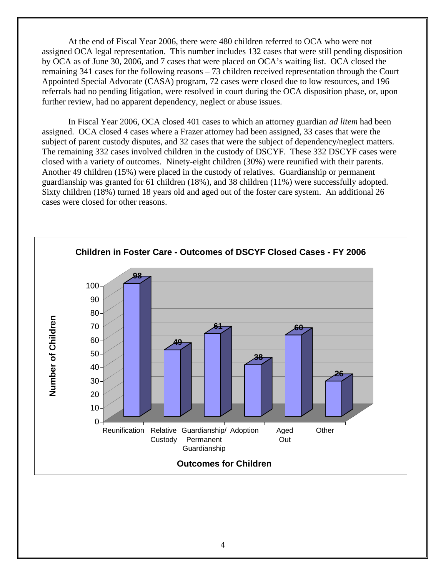At the end of Fiscal Year 2006, there were 480 children referred to OCA who were not assigned OCA legal representation. This number includes 132 cases that were still pending disposition by OCA as of June 30, 2006, and 7 cases that were placed on OCA's waiting list. OCA closed the remaining 341 cases for the following reasons – 73 children received representation through the Court Appointed Special Advocate (CASA) program, 72 cases were closed due to low resources, and 196 referrals had no pending litigation, were resolved in court during the OCA disposition phase, or, upon further review, had no apparent dependency, neglect or abuse issues.

In Fiscal Year 2006, OCA closed 401 cases to which an attorney guardian *ad litem* had been assigned. OCA closed 4 cases where a Frazer attorney had been assigned, 33 cases that were the subject of parent custody disputes, and 32 cases that were the subject of dependency/neglect matters. The remaining 332 cases involved children in the custody of DSCYF. These 332 DSCYF cases were closed with a variety of outcomes. Ninety-eight children (30%) were reunified with their parents. Another 49 children (15%) were placed in the custody of relatives. Guardianship or permanent guardianship was granted for 61 children (18%), and 38 children (11%) were successfully adopted. Sixty children (18%) turned 18 years old and aged out of the foster care system. An additional 26 cases were closed for other reasons.

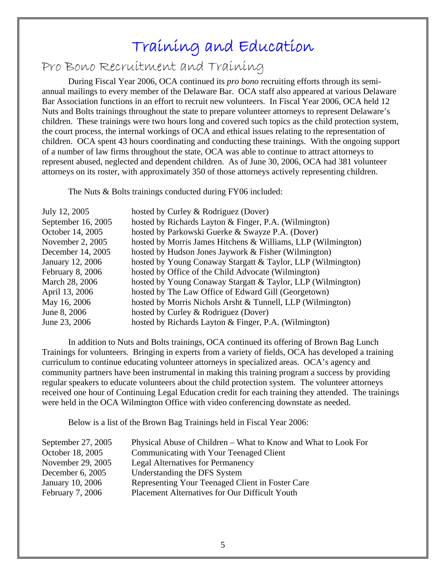## Training and Education

Pro Bono Recruitment and Training

During Fiscal Year 2006, OCA continued its *pro bono* recruiting efforts through its semiannual mailings to every member of the Delaware Bar. OCA staff also appeared at various Delaware Bar Association functions in an effort to recruit new volunteers. In Fiscal Year 2006, OCA held 12 Nuts and Bolts trainings throughout the state to prepare volunteer attorneys to represent Delaware's children. These trainings were two hours long and covered such topics as the child protection system, the court process, the internal workings of OCA and ethical issues relating to the representation of children. OCA spent 43 hours coordinating and conducting these trainings. With the ongoing support of a number of law firms throughout the state, OCA was able to continue to attract attorneys to represent abused, neglected and dependent children. As of June 30, 2006, OCA had 381 volunteer attorneys on its roster, with approximately 350 of those attorneys actively representing children.

The Nuts & Bolts trainings conducted during FY06 included:

| July 12, 2005      | hosted by Curley & Rodriguez (Dover)                         |
|--------------------|--------------------------------------------------------------|
| September 16, 2005 | hosted by Richards Layton & Finger, P.A. (Wilmington)        |
| October 14, 2005   | hosted by Parkowski Guerke & Swayze P.A. (Dover)             |
| November 2, 2005   | hosted by Morris James Hitchens & Williams, LLP (Wilmington) |
| December 14, 2005  | hosted by Hudson Jones Jaywork & Fisher (Wilmington)         |
| January 12, 2006   | hosted by Young Conaway Stargatt & Taylor, LLP (Wilmington)  |
| February 8, 2006   | hosted by Office of the Child Advocate (Wilmington)          |
| March 28, 2006     | hosted by Young Conaway Stargatt & Taylor, LLP (Wilmington)  |
| April 13, 2006     | hosted by The Law Office of Edward Gill (Georgetown)         |
| May 16, 2006       | hosted by Morris Nichols Arsht & Tunnell, LLP (Wilmington)   |
| June 8, 2006       | hosted by Curley & Rodriguez (Dover)                         |
| June 23, 2006      | hosted by Richards Layton & Finger, P.A. (Wilmington)        |

In addition to Nuts and Bolts trainings, OCA continued its offering of Brown Bag Lunch Trainings for volunteers. Bringing in experts from a variety of fields, OCA has developed a training curriculum to continue educating volunteer attorneys in specialized areas. OCA's agency and community partners have been instrumental in making this training program a success by providing regular speakers to educate volunteers about the child protection system. The volunteer attorneys received one hour of Continuing Legal Education credit for each training they attended. The trainings were held in the OCA Wilmington Office with video conferencing downstate as needed.

Below is a list of the Brown Bag Trainings held in Fiscal Year 2006:

| September $27, 2005$ | Physical Abuse of Children – What to Know and What to Look For |
|----------------------|----------------------------------------------------------------|
| October 18, 2005     | Communicating with Your Teenaged Client                        |
| November 29, 2005    | <b>Legal Alternatives for Permanency</b>                       |
| December $6, 2005$   | Understanding the DFS System                                   |
| January 10, 2006     | Representing Your Teenaged Client in Foster Care               |
| February 7, 2006     | Placement Alternatives for Our Difficult Youth                 |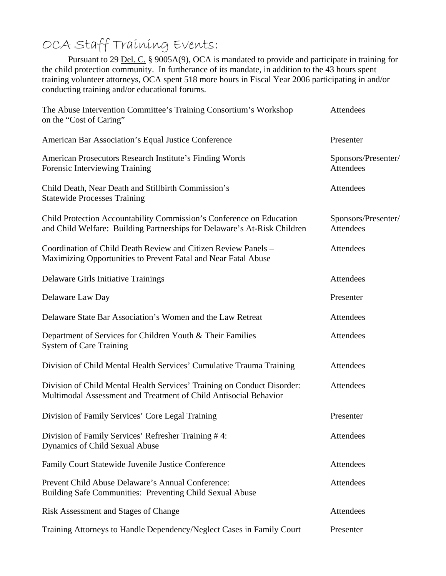OCA Staff Training Events:<br>Pursuant to 29 <u>Del. C.</u> § 9005A(9), OCA is mandated to provide and participate in training for the child protection community. In furtherance of its mandate, in addition to the 43 hours spent training volunteer attorneys, OCA spent 518 more hours in Fiscal Year 2006 participating in and/or conducting training and/or educational forums.

| The Abuse Intervention Committee's Training Consortium's Workshop<br>on the "Cost of Caring"                                                     | Attendees                        |
|--------------------------------------------------------------------------------------------------------------------------------------------------|----------------------------------|
| American Bar Association's Equal Justice Conference                                                                                              | Presenter                        |
| American Prosecutors Research Institute's Finding Words<br>Forensic Interviewing Training                                                        | Sponsors/Presenter/<br>Attendees |
| Child Death, Near Death and Stillbirth Commission's<br><b>Statewide Processes Training</b>                                                       | Attendees                        |
| Child Protection Accountability Commission's Conference on Education<br>and Child Welfare: Building Partnerships for Delaware's At-Risk Children | Sponsors/Presenter/<br>Attendees |
| Coordination of Child Death Review and Citizen Review Panels -<br>Maximizing Opportunities to Prevent Fatal and Near Fatal Abuse                 | Attendees                        |
| Delaware Girls Initiative Trainings                                                                                                              | Attendees                        |
| Delaware Law Day                                                                                                                                 | Presenter                        |
| Delaware State Bar Association's Women and the Law Retreat                                                                                       | Attendees                        |
| Department of Services for Children Youth & Their Families<br><b>System of Care Training</b>                                                     | Attendees                        |
| Division of Child Mental Health Services' Cumulative Trauma Training                                                                             | Attendees                        |
| Division of Child Mental Health Services' Training on Conduct Disorder:<br>Multimodal Assessment and Treatment of Child Antisocial Behavior      | Attendees                        |
| Division of Family Services' Core Legal Training                                                                                                 | Presenter                        |
| Division of Family Services' Refresher Training #4:<br>Dynamics of Child Sexual Abuse                                                            | Attendees                        |
| Family Court Statewide Juvenile Justice Conference                                                                                               | Attendees                        |
| Prevent Child Abuse Delaware's Annual Conference:<br>Building Safe Communities: Preventing Child Sexual Abuse                                    | Attendees                        |
| Risk Assessment and Stages of Change                                                                                                             | Attendees                        |
| Training Attorneys to Handle Dependency/Neglect Cases in Family Court                                                                            | Presenter                        |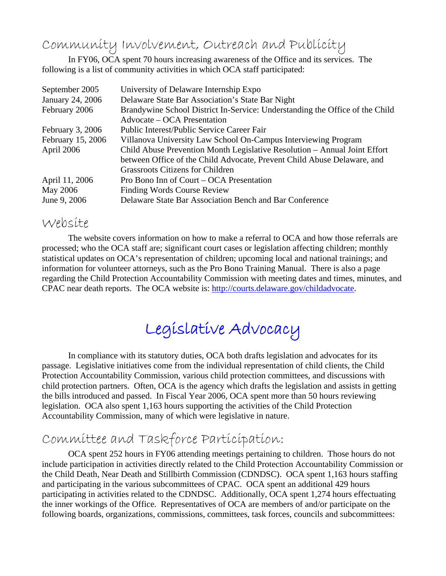Community Involvement, Outreach and Publicity

 In FY06, OCA spent 70 hours increasing awareness of the Office and its services. The following is a list of community activities in which OCA staff participated:

| University of Delaware Internship Expo                                       |
|------------------------------------------------------------------------------|
| Delaware State Bar Association's State Bar Night                             |
| Brandywine School District In-Service: Understanding the Office of the Child |
| Advocate – OCA Presentation                                                  |
| <b>Public Interest/Public Service Career Fair</b>                            |
| Villanova University Law School On-Campus Interviewing Program               |
| Child Abuse Prevention Month Legislative Resolution – Annual Joint Effort    |
| between Office of the Child Advocate, Prevent Child Abuse Delaware, and      |
| <b>Grassroots Citizens for Children</b>                                      |
| Pro Bono Inn of Court – OCA Presentation                                     |
| <b>Finding Words Course Review</b>                                           |
| Delaware State Bar Association Bench and Bar Conference                      |
|                                                                              |

### Website

The website covers information on how to make a referral to OCA and how those referrals are processed; who the OCA staff are; significant court cases or legislation affecting children; monthly statistical updates on OCA's representation of children; upcoming local and national trainings; and information for volunteer attorneys, such as the Pro Bono Training Manual. There is also a page regarding the Child Protection Accountability Commission with meeting dates and times, minutes, and CPAC near death reports. The OCA website is: http://courts.delaware.gov/childadvocate.

# Legislative Advocacy

In compliance with its statutory duties, OCA both drafts legislation and advocates for its passage. Legislative initiatives come from the individual representation of child clients, the Child Protection Accountability Commission, various child protection committees, and discussions with child protection partners. Often, OCA is the agency which drafts the legislation and assists in getting the bills introduced and passed. In Fiscal Year 2006, OCA spent more than 50 hours reviewing legislation. OCA also spent 1,163 hours supporting the activities of the Child Protection Accountability Commission, many of which were legislative in nature.

# Committee and Taskforce Participation: OCA spent 252 hours in FY06 attending meetings pertaining to children. Those hours do not

include participation in activities directly related to the Child Protection Accountability Commission or the Child Death, Near Death and Stillbirth Commission (CDNDSC). OCA spent 1,163 hours staffing and participating in the various subcommittees of CPAC. OCA spent an additional 429 hours participating in activities related to the CDNDSC. Additionally, OCA spent 1,274 hours effectuating the inner workings of the Office. Representatives of OCA are members of and/or participate on the following boards, organizations, commissions, committees, task forces, councils and subcommittees: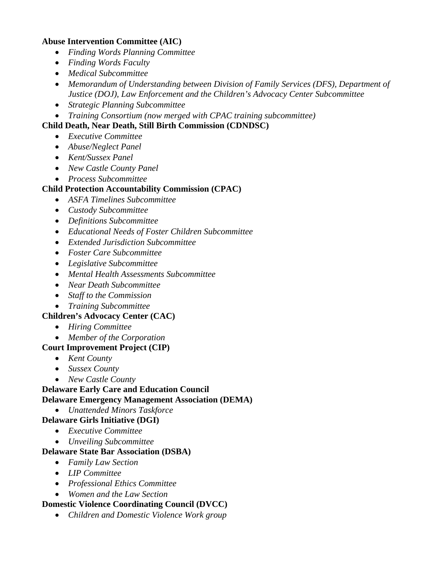### **Abuse Intervention Committee (AIC)**

- *Finding Words Planning Committee*
- *Finding Words Faculty*
- *Medical Subcommittee*
- *Memorandum of Understanding between Division of Family Services (DFS), Department of Justice (DOJ), Law Enforcement and the Children's Advocacy Center Subcommittee*
- *Strategic Planning Subcommittee*
- *Training Consortium (now merged with CPAC training subcommittee)*

### **Child Death, Near Death, Still Birth Commission (CDNDSC)**

- *Executive Committee*
- *Abuse/Neglect Panel*
- *Kent/Sussex Panel*
- *New Castle County Panel*
- *Process Subcommittee*

#### **Child Protection Accountability Commission (CPAC)**

- *ASFA Timelines Subcommittee*
- *Custody Subcommittee*
- *Definitions Subcommittee*
- *Educational Needs of Foster Children Subcommittee*
- *Extended Jurisdiction Subcommittee*
- *Foster Care Subcommittee*
- *Legislative Subcommittee*
- *Mental Health Assessments Subcommittee*
- *Near Death Subcommittee*
- *Staff to the Commission*
- *Training Subcommittee*

### **Children's Advocacy Center (CAC)**

- *Hiring Committee*
- *Member of the Corporation*

### **Court Improvement Project (CIP)**

- *Kent County*
- *Sussex County*
- *New Castle County*

### **Delaware Early Care and Education Council**

### **Delaware Emergency Management Association (DEMA)**

• *Unattended Minors Taskforce* 

### **Delaware Girls Initiative (DGI)**

- *Executive Committee*
- *Unveiling Subcommittee*

### **Delaware State Bar Association (DSBA)**

- *Family Law Section*
- *LIP Committee*
- *Professional Ethics Committee*
- *Women and the Law Section*

### **Domestic Violence Coordinating Council (DVCC)**

• *Children and Domestic Violence Work group*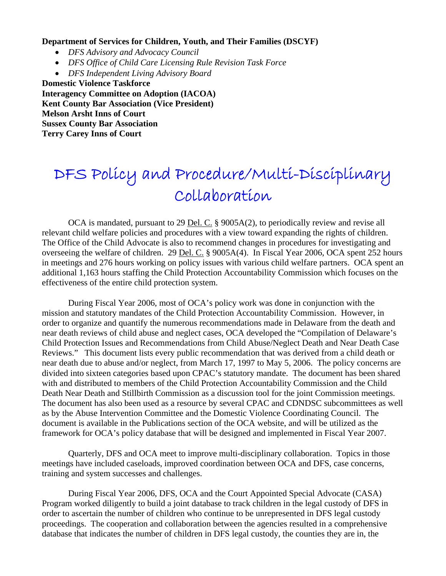#### **Department of Services for Children, Youth, and Their Families (DSCYF)**

- *DFS Advisory and Advocacy Council*
- *DFS Office of Child Care Licensing Rule Revision Task Force*
- *DFS Independent Living Advisory Board*

**Domestic Violence Taskforce Interagency Committee on Adoption (IACOA) Kent County Bar Association (Vice President) Melson Arsht Inns of Court Sussex County Bar Association Terry Carey Inns of Court** 

# DFS Policy and Procedure/Multi-Disciplinary Collaboration

OCA is mandated, pursuant to 29 Del. C. § 9005A(2), to periodically review and revise all relevant child welfare policies and procedures with a view toward expanding the rights of children. The Office of the Child Advocate is also to recommend changes in procedures for investigating and overseeing the welfare of children. 29 Del. C. § 9005A(4). In Fiscal Year 2006, OCA spent 252 hours in meetings and 276 hours working on policy issues with various child welfare partners. OCA spent an additional 1,163 hours staffing the Child Protection Accountability Commission which focuses on the effectiveness of the entire child protection system.

During Fiscal Year 2006, most of OCA's policy work was done in conjunction with the mission and statutory mandates of the Child Protection Accountability Commission. However, in order to organize and quantify the numerous recommendations made in Delaware from the death and near death reviews of child abuse and neglect cases, OCA developed the "Compilation of Delaware's Child Protection Issues and Recommendations from Child Abuse/Neglect Death and Near Death Case Reviews." This document lists every public recommendation that was derived from a child death or near death due to abuse and/or neglect, from March 17, 1997 to May 5, 2006. The policy concerns are divided into sixteen categories based upon CPAC's statutory mandate. The document has been shared with and distributed to members of the Child Protection Accountability Commission and the Child Death Near Death and Stillbirth Commission as a discussion tool for the joint Commission meetings. The document has also been used as a resource by several CPAC and CDNDSC subcommittees as well as by the Abuse Intervention Committee and the Domestic Violence Coordinating Council. The document is available in the Publications section of the OCA website, and will be utilized as the framework for OCA's policy database that will be designed and implemented in Fiscal Year 2007.

Quarterly, DFS and OCA meet to improve multi-disciplinary collaboration. Topics in those meetings have included caseloads, improved coordination between OCA and DFS, case concerns, training and system successes and challenges.

During Fiscal Year 2006, DFS, OCA and the Court Appointed Special Advocate (CASA) Program worked diligently to build a joint database to track children in the legal custody of DFS in order to ascertain the number of children who continue to be unrepresented in DFS legal custody proceedings. The cooperation and collaboration between the agencies resulted in a comprehensive database that indicates the number of children in DFS legal custody, the counties they are in, the